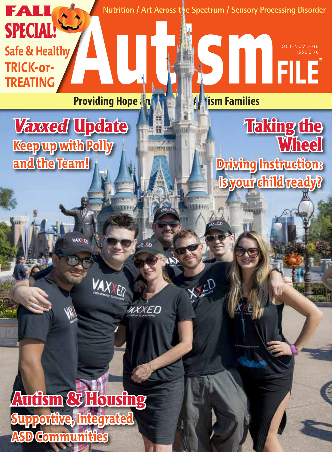**Nutrition / Art Across the Spectrum / Sensory Processing Disorder** FALL SPECIAL! **Safe & Healthy** OCT-NOV 2016 ISSUE 70 **TRICK-or-TREATING Providing Hope and Muslim Families Taking the** Vaxxed Update **Wheel Keep up with Polly and the Team! Driving Instruction: Is your child ready?** XXED AXXED Autism & Housing

**Supportive, Integrated ASD Communities**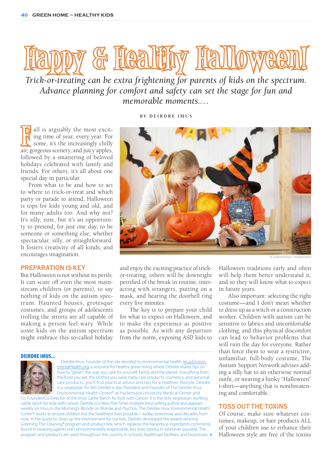

*Trick-or-treating can be extra frightening for parents of kids on the spectrum. Advance planning for comfort and safety can set the stage for fun and memorable moments.…*

**BY DEIRDRE IMUS**

all is arguably the most exciting time of year, every year. For some, it's the increasingly chilly air, gorgeous scenery, and juicy apples, all is arguably the most exciting time of year, every year. For some, it's the increasingly chilly followed by a smattering of beloved holidays celebrated with family and friends. For others, it's all about one special day in particular.

From what to be and how to act to where to trick-or-treat and which party or parade to attend, Halloween is tops for kids young and old, and for many adults too. And why not? It's silly, sure, but it's an opportunity to pretend, for just one day, to be someone or something else, whether spectacular, silly, or straightforward. It fosters creativity of all kinds, and encourages imagination.

# **PREPARATION IS KEY**

But Halloween is not without its perils. It can scare off even the most mainstream children (or parents), to say nothing of kids on the autism spectrum. Haunted houses, grotesque costumes, and groups of adolescents trolling the streets are all capable of making a person feel wary. While some kids on the autism spectrum might embrace this so-called holiday



© JenkoAtaman / AdobeStock

and enjoy the exciting practice of trickor-treating, others will be downright petrified of the break in routine, interacting with strangers, putting on a mask, and hearing the doorbell ring every five minutes.

 The key is to prepare your child for what to expect on Halloween, and to make the experience as positive as possible. As with any departure from the norm, exposing ASD kids to

#### DEIRDRE IMUS...



…Deirdre Imus, Founder of the site devoted to environmental health, ImusEnvironmentalHealth.org, a resource for healthy green living where Deirdre shares tips on how to "green" the way you care for yourself, family and the planet. Everything from the food you eat, the clothes you wear, baby care products, cosmetics, and personal care products, you'll find practical advice and tips for a healthier lifestyle. Deirdre is a vegetarian for life! Deirdre is also President and Founder of The Deirdre Imus Environmental Health Center® at Hackensack University Medical Center and Co-Founder/Co-Director of the Imus Cattle Ranch for Kids with Cancer. It is the only vegetarian working

cattle ranch for kids with cancer. Deirdre is a *New York Times* multiple best-selling author and appears weekly on Imus in the Morning's Blonde on Blonde and Psychos. The Deirdre Imus Environmental Health Center® works to ensure children live the healthiest lives possible—today, tomorrow, and decades from now. In her quest to clean up the environment for our kids, Deirdre developed the award-winning Greening The Cleaning® program and product line, which replaces the hazardous ingredients commonly found in cleaning agents with environmentally-responsible, less toxic products wherever possible. The program and products are used throughout the country in schools, healthcare facilities, and businesses.

Halloween traditions early and often will help them better understand it, and so they will know what to expect in future years.

 Also important: selecting the right costume—and I don't mean whether to dress up as a witch or a construction worker. Children with autism can be sensitive to fabrics and uncomfortable clothing, and this physical discomfort can lead to behavior problems that will ruin the day for everyone. Rather than force them to wear a restrictive, unfamiliar, full-body costume, The Autism Support Network advises adding a silly hat to an otherwise normal outfit, or wearing a funky "Halloween" t-shirt—anything that is nonthreatening and comfortable.

# **TOSS OUT THE TOXINS**

Of course, make sure whatever costumes, makeup, or hair products ALL of your children use to enhance their Halloween style are free of the toxins